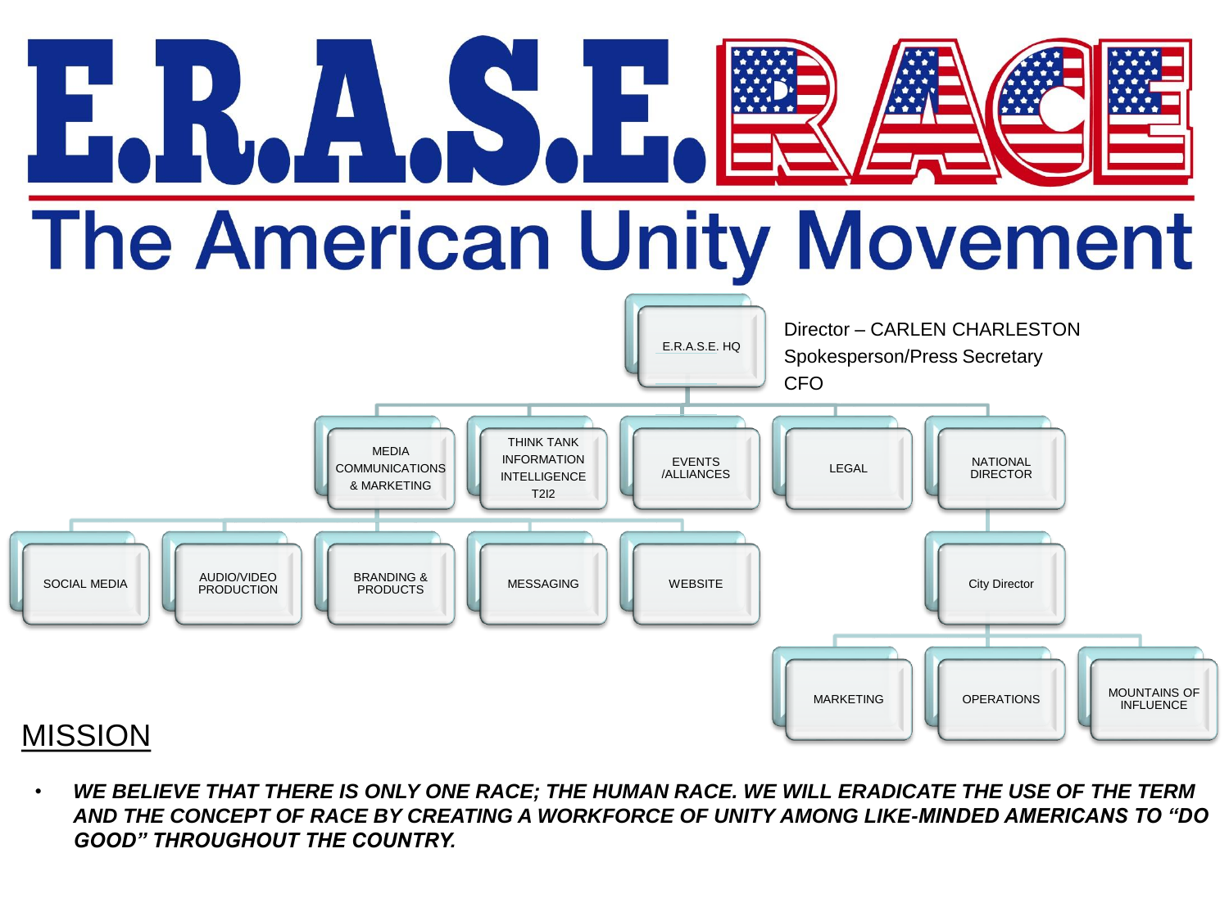

• *WE BELIEVE THAT THERE IS ONLY ONE RACE; THE HUMAN RACE. WE WILL ERADICATE THE USE OF THE TERM AND THE CONCEPT OF RACE BY CREATING A WORKFORCE OF UNITY AMONG LIKE-MINDED AMERICANS TO "DO GOOD" THROUGHOUT THE COUNTRY.*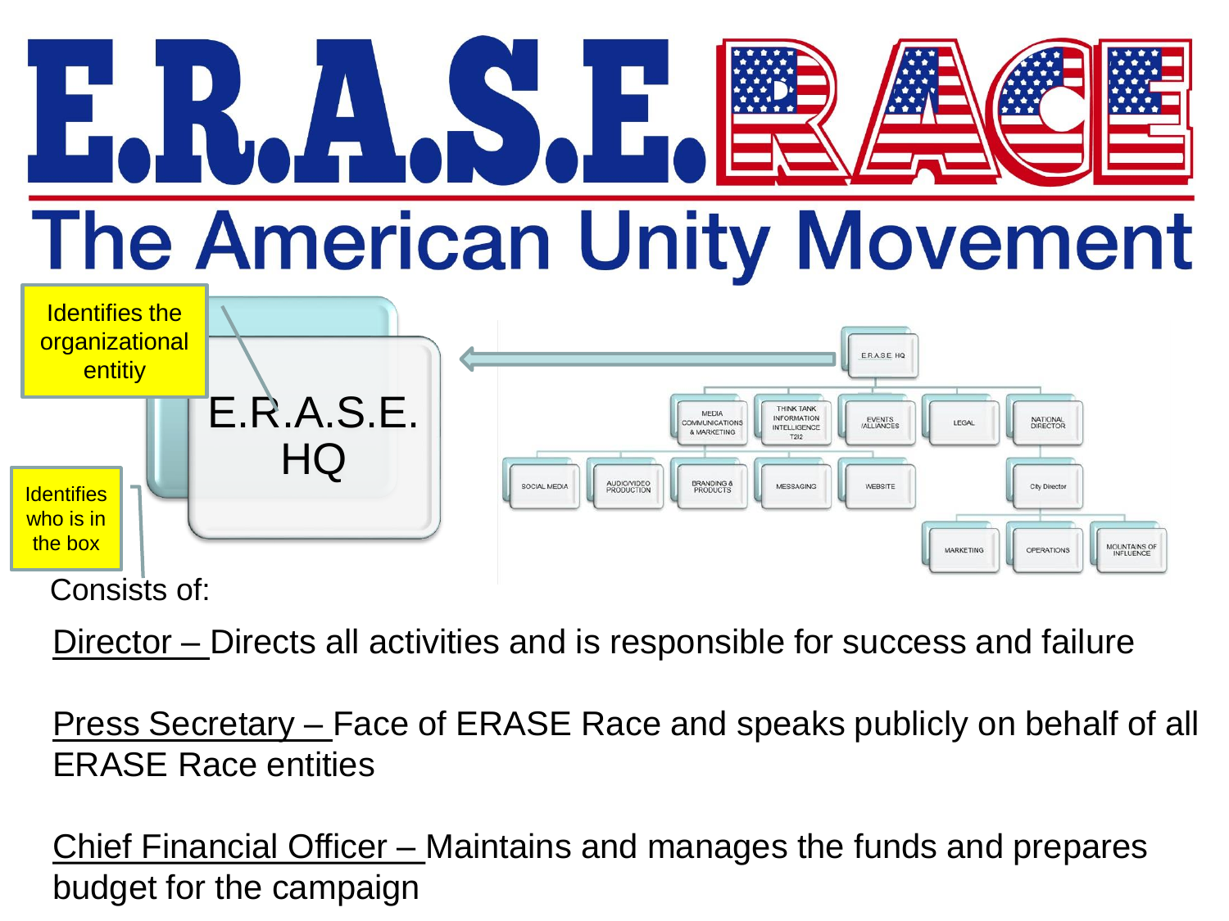# **CACS.E. The American Unity Movement**



Director – Directs all activities and is responsible for success and failure

Press Secretary – Face of ERASE Race and speaks publicly on behalf of all ERASE Race entities

Chief Financial Officer – Maintains and manages the funds and prepares budget for the campaign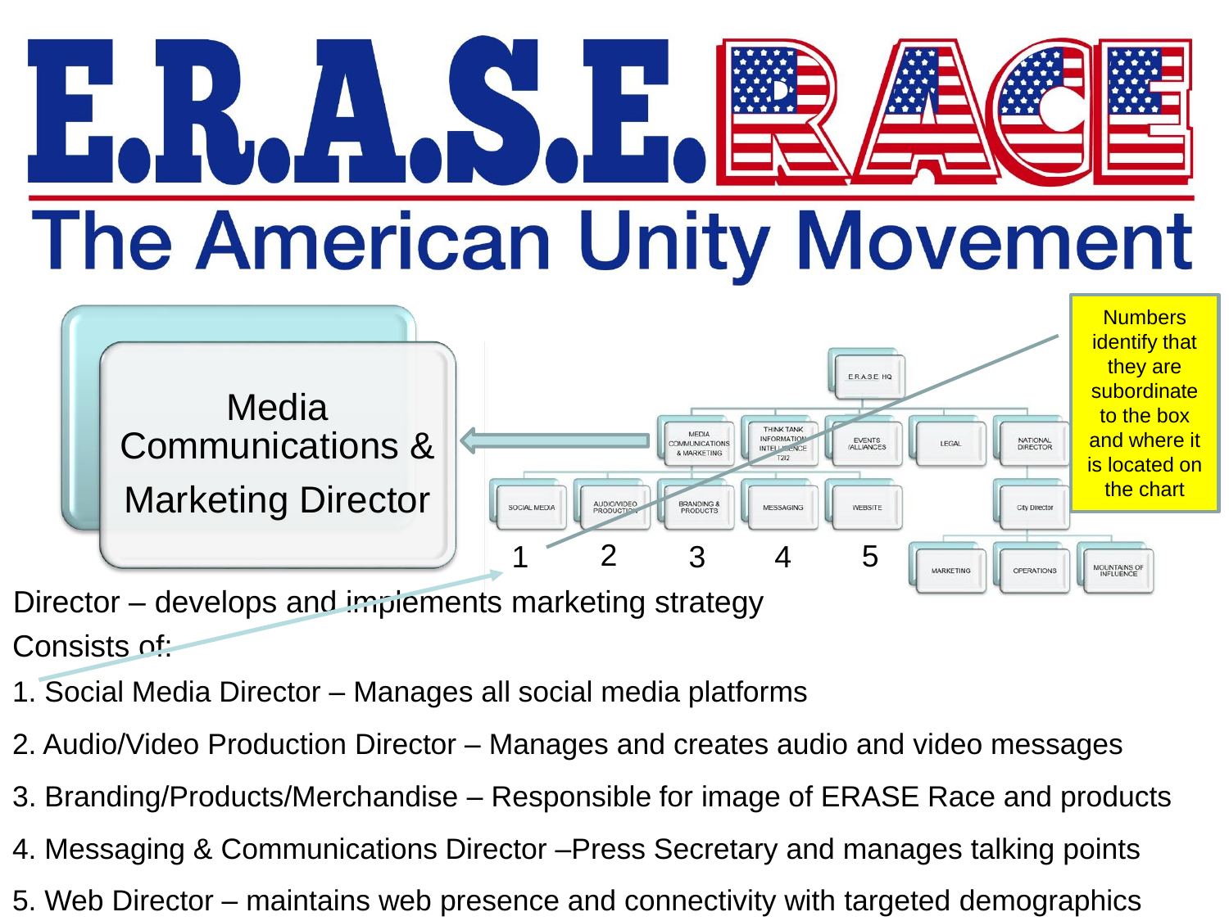### $\left| \begin{array}{c} \Delta \ \cdot \end{array} \right|$ **The American Unity Movement**



- Consists of: Director – develops and implements marketing strategy
- 1. Social Media Director Manages all social media platforms
- 2. Audio/Video Production Director Manages and creates audio and video messages
- 3. Branding/Products/Merchandise Responsible for image of ERASE Race and products
- 4. Messaging & Communications Director –Press Secretary and manages talking points
- 5. Web Director maintains web presence and connectivity with targeted demographics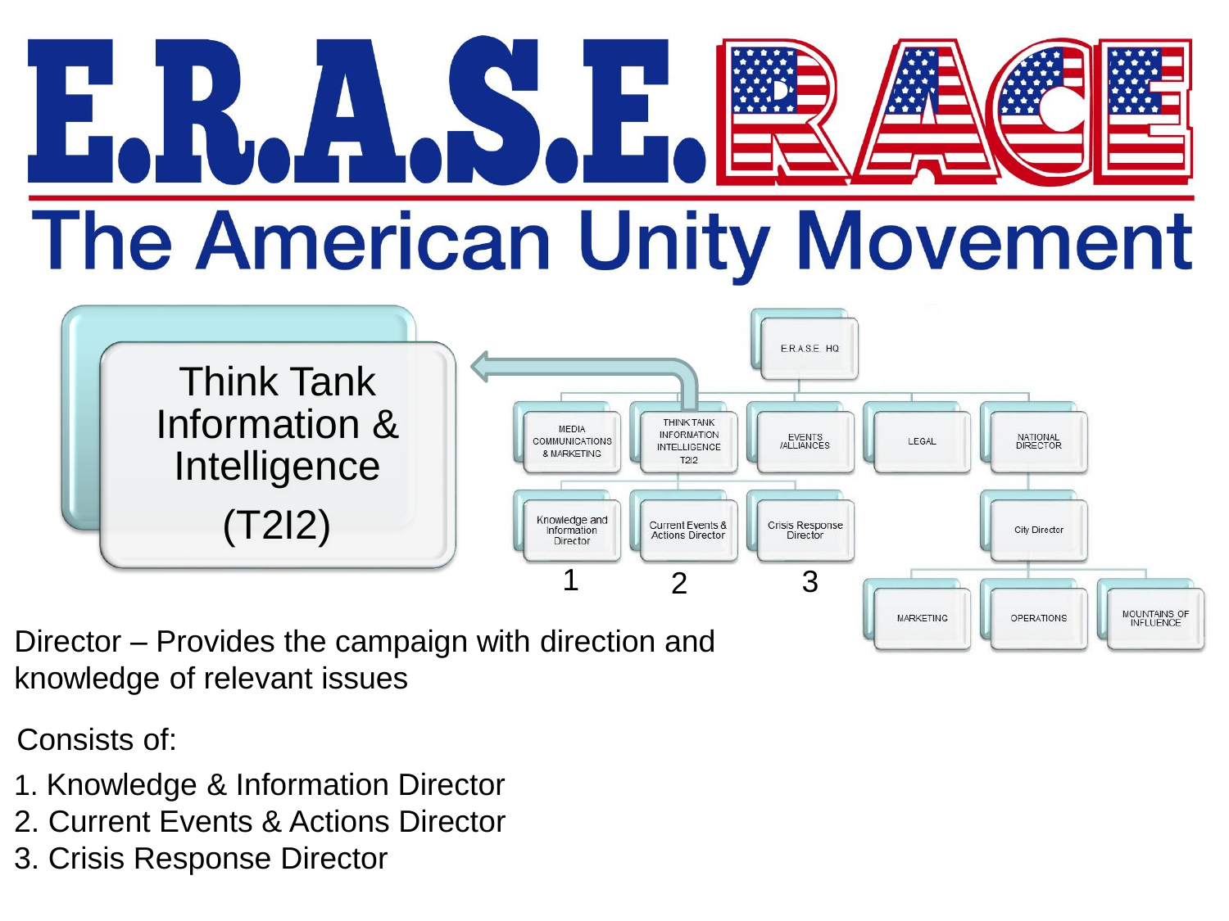# 4657 **The American Unity Movement**



Director – Provides the campaign with direction and knowledge of relevant issues

Consists of:

- 1. Knowledge & Information Director
- 2. Current Events & Actions Director
- 3. Crisis Response Director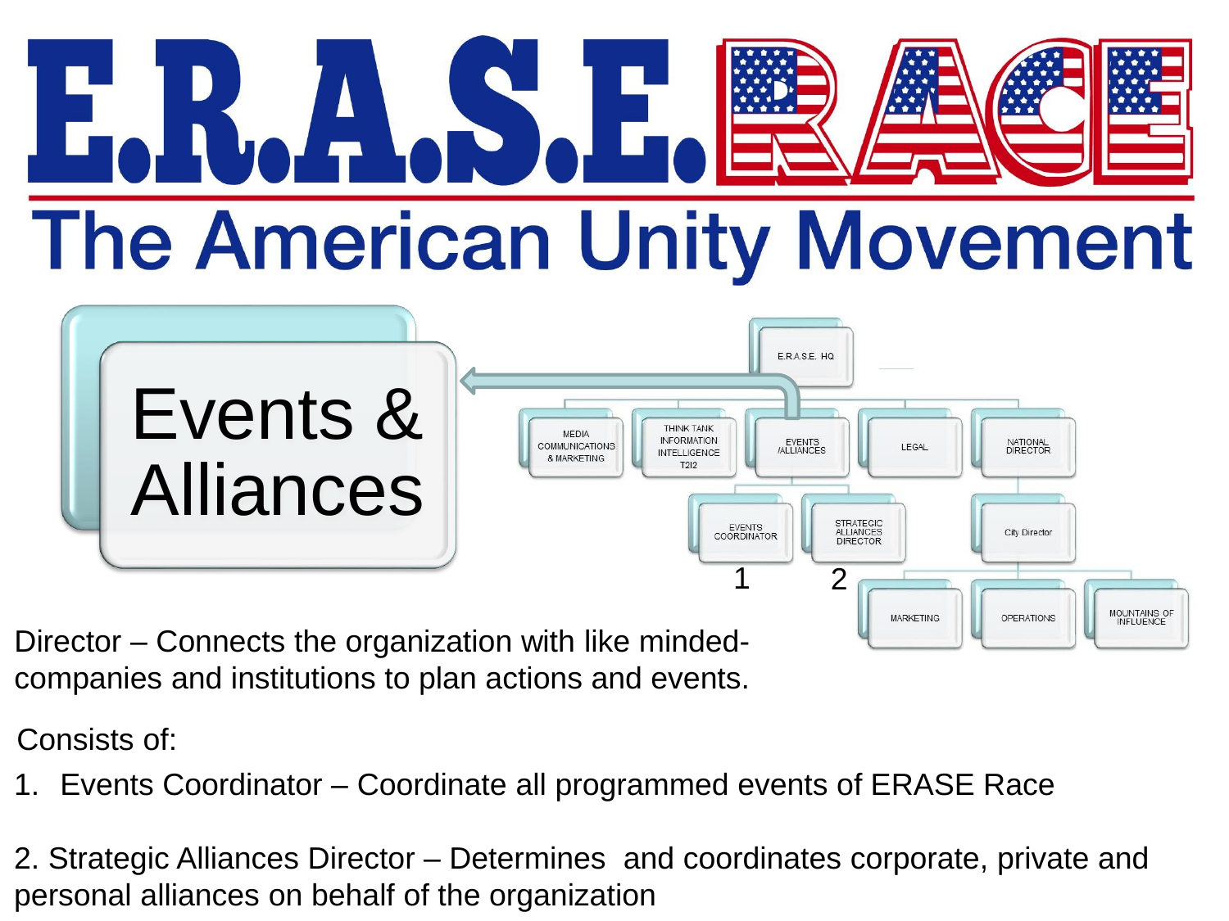# ALS.E **The American Unity Movement**



Director – Connects the organization with like mindedcompanies and institutions to plan actions and events.

Consists of:

1. Events Coordinator – Coordinate all programmed events of ERASE Race

2. Strategic Alliances Director – Determines and coordinates corporate, private and personal alliances on behalf of the organization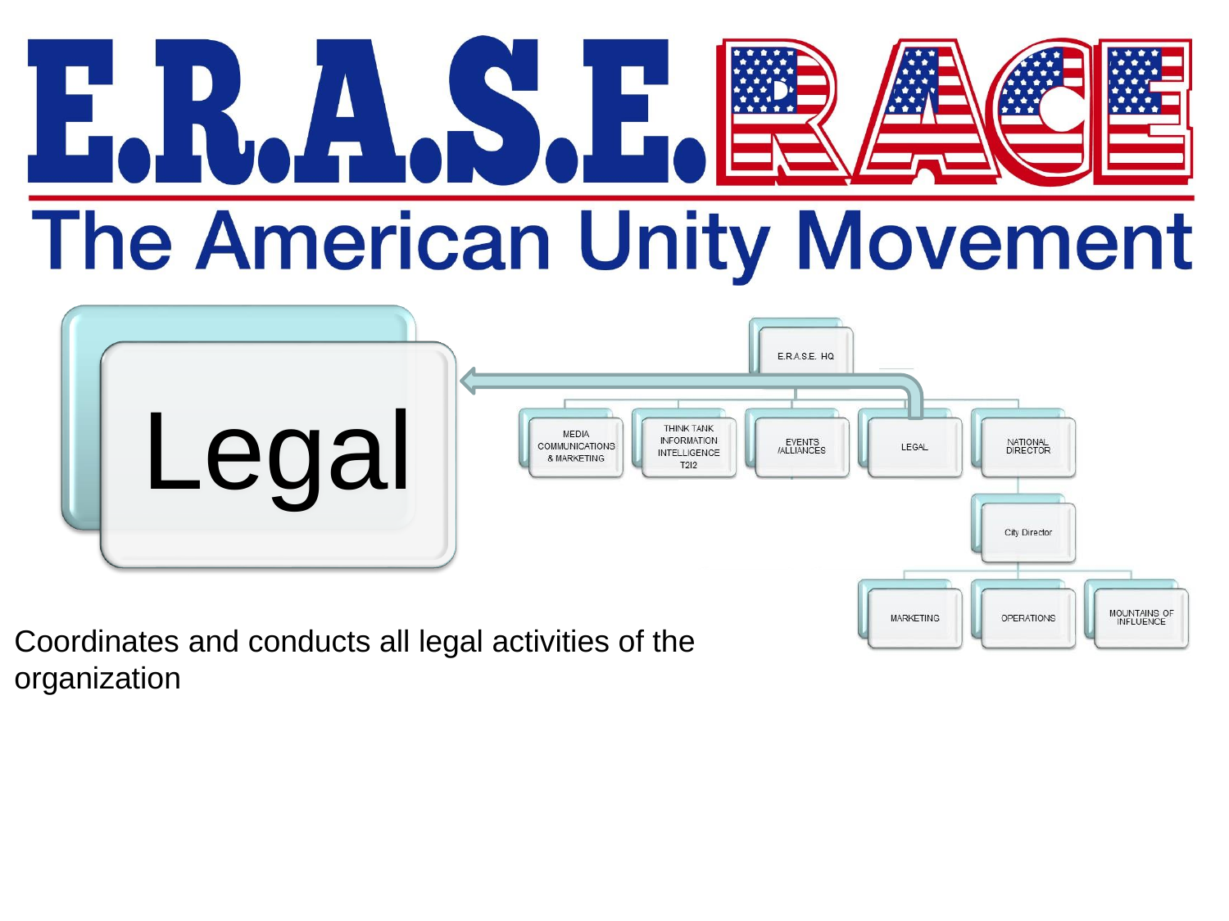### ALST The American Unity Movement



Coordinates and conducts all legal activities of the organization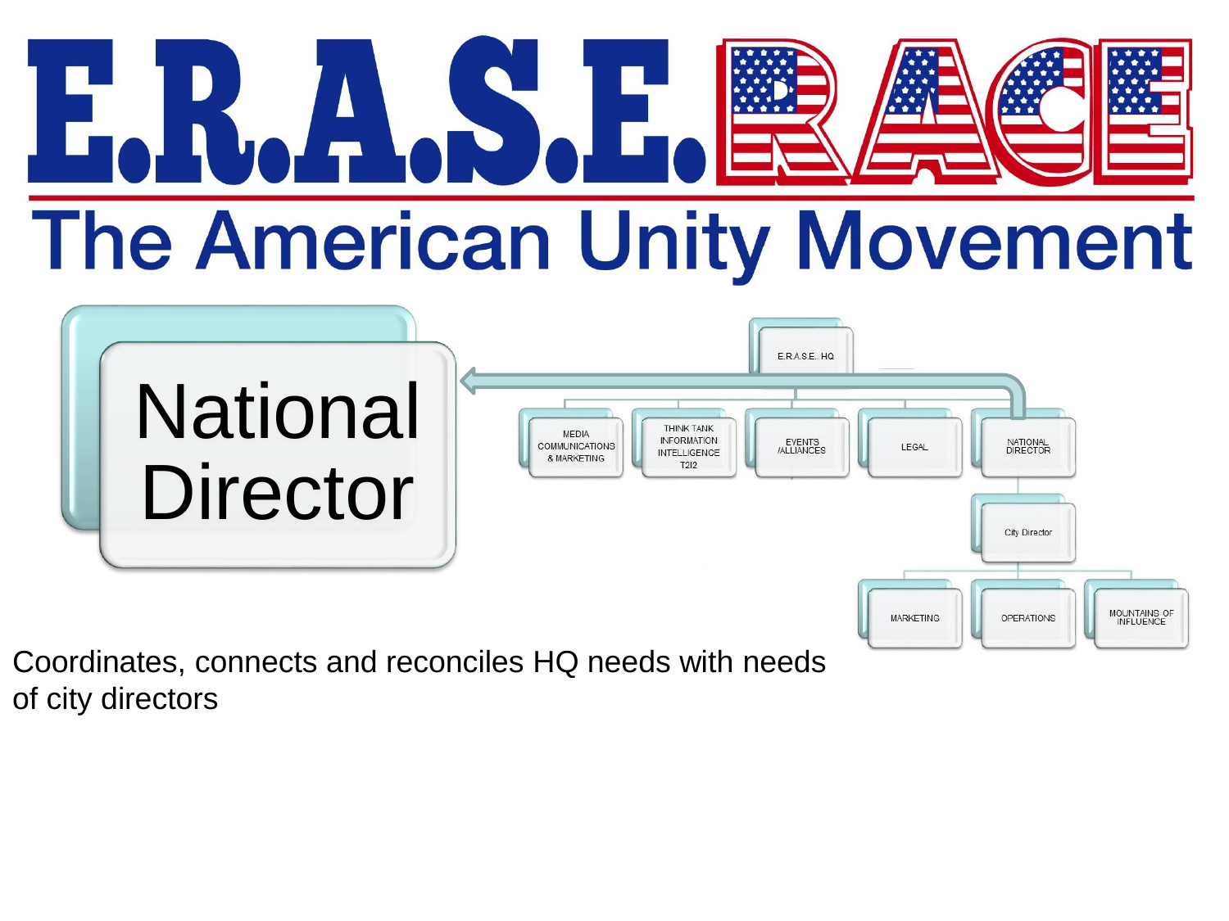# ANS. **The American Unity Movement**



Coordinates, connects and reconciles HQ needs with needs of city directors